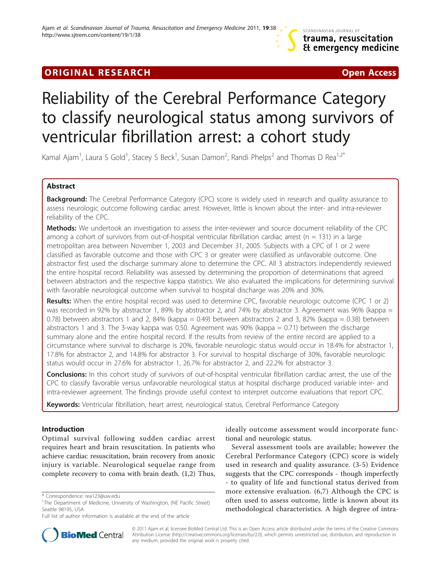## **ORIGINAL RESEARCH CONSUMING ACCESS**

# Reliability of the Cerebral Performance Category to classify neurological status among survivors of ventricular fibrillation arrest: a cohort study

Kamal Ajam<sup>1</sup>, Laura S Gold<sup>1</sup>, Stacey S Beck<sup>1</sup>, Susan Damon<sup>2</sup>, Randi Phelps<sup>2</sup> and Thomas D Rea<sup>1,2\*</sup>

## Abstract

Background: The Cerebral Performance Category (CPC) score is widely used in research and quality assurance to assess neurologic outcome following cardiac arrest. However, little is known about the inter- and intra-reviewer reliability of the CPC.

Methods: We undertook an investigation to assess the inter-reviewer and source document reliability of the CPC among a cohort of survivors from out-of-hospital ventricular fibrillation cardiac arrest ( $n = 131$ ) in a large metropolitan area between November 1, 2003 and December 31, 2005. Subjects with a CPC of 1 or 2 were classified as favorable outcome and those with CPC 3 or greater were classified as unfavorable outcome. One abstractor first used the discharge summary alone to determine the CPC. All 3 abstractors independently reviewed the entire hospital record. Reliability was assessed by determining the proportion of determinations that agreed between abstractors and the respective kappa statistics. We also evaluated the implications for determining survival with favorable neurological outcome when survival to hospital discharge was 20% and 30%.

Results: When the entire hospital record was used to determine CPC, favorable neurologic outcome (CPC 1 or 2) was recorded in 92% by abstractor 1, 89% by abstractor 2, and 74% by abstractor 3. Agreement was 96% (kappa = 0.78) between abstractors 1 and 2, 84% (kappa = 0.49) between abstractors 2 and 3, 82% (kappa = 0.38) between abstractors 1 and 3. The 3-way kappa was 0.50. Agreement was 90% (kappa = 0.71) between the discharge summary alone and the entire hospital record. If the results from review of the entire record are applied to a circumstance where survival to discharge is 20%, favorable neurologic status would occur in 18.4% for abstractor 1, 17.8% for abstractor 2, and 14.8% for abstractor 3. For survival to hospital discharge of 30%, favorable neurologic status would occur in 27.6% for abstractor 1, 26.7% for abstractor 2, and 22.2% for abstractor 3.

Conclusions: In this cohort study of survivors of out-of-hospital ventricular fibrillation cardiac arrest, the use of the CPC to classify favorable versus unfavorable neurological status at hospital discharge produced variable inter- and intra-reviewer agreement. The findings provide useful context to interpret outcome evaluations that report CPC.

Keywords: Ventricular fibrillation, heart arrest, neurological status, Cerebral Performance Category

## Introduction

Optimal survival following sudden cardiac arrest requires heart and brain resuscitation. In patients who achieve cardiac resuscitation, brain recovery from anoxic injury is variable. Neurological sequelae range from complete recovery to coma with brain death. (1,2) Thus,



Several assessment tools are available; however the Cerebral Performance Category (CPC) score is widely used in research and quality assurance. (3-5) Evidence suggests that the CPC corresponds - though imperfectly - to quality of life and functional status derived from more extensive evaluation. (6,7) Although the CPC is often used to assess outcome, little is known about its methodological characteristics. A high degree of intra-



© 2011 Ajam et al; licensee BioMed Central Ltd. This is an Open Access article distributed under the terms of the Creative Commons Attribution License [\(http://creativecommons.org/licenses/by/2.0](http://creativecommons.org/licenses/by/2.0)), which permits unrestricted use, distribution, and reproduction in any medium, provided the original work is properly cited.

<sup>\*</sup> Correspondence: [rea123@uw.edu](mailto:rea123@uw.edu)

<sup>&</sup>lt;sup>1</sup>The Department of Medicine, University of Washington, (NE Pacific Street) Seattle 98195, USA

Full list of author information is available at the end of the article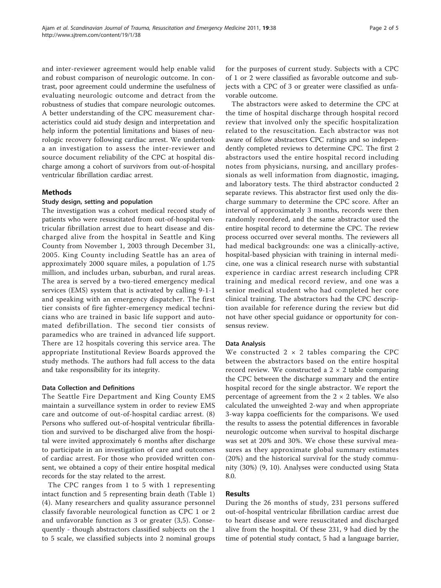and inter-reviewer agreement would help enable valid and robust comparison of neurologic outcome. In contrast, poor agreement could undermine the usefulness of evaluating neurologic outcome and detract from the robustness of studies that compare neurologic outcomes. A better understanding of the CPC measurement characteristics could aid study design and interpretation and help inform the potential limitations and biases of neurologic recovery following cardiac arrest. We undertook a an investigation to assess the inter-reviewer and source document reliability of the CPC at hospital discharge among a cohort of survivors from out-of-hospital ventricular fibrillation cardiac arrest.

#### Methods

#### Study design, setting and population

The investigation was a cohort medical record study of patients who were resuscitated from out-of-hospital ventricular fibrillation arrest due to heart disease and discharged alive from the hospital in Seattle and King County from November 1, 2003 through December 31, 2005. King County including Seattle has an area of approximately 2000 square miles, a population of 1.75 million, and includes urban, suburban, and rural areas. The area is served by a two-tiered emergency medical services (EMS) system that is activated by calling 9-1-1 and speaking with an emergency dispatcher. The first tier consists of fire fighter-emergency medical technicians who are trained in basic life support and automated defibrillation. The second tier consists of paramedics who are trained in advanced life support. There are 12 hospitals covering this service area. The appropriate Institutional Review Boards approved the study methods. The authors had full access to the data and take responsibility for its integrity.

#### Data Collection and Definitions

The Seattle Fire Department and King County EMS maintain a surveillance system in order to review EMS care and outcome of out-of-hospital cardiac arrest. (8) Persons who suffered out-of-hospital ventricular fibrillation and survived to be discharged alive from the hospital were invited approximately 6 months after discharge to participate in an investigation of care and outcomes of cardiac arrest. For those who provided written consent, we obtained a copy of their entire hospital medical records for the stay related to the arrest.

The CPC ranges from 1 to 5 with 1 representing intact function and 5 representing brain death (Table [1](#page-2-0)) (4). Many researchers and quality assurance personnel classify favorable neurological function as CPC 1 or 2 and unfavorable function as 3 or greater (3,5). Consequently - though abstractors classified subjects on the 1 to 5 scale, we classified subjects into 2 nominal groups for the purposes of current study. Subjects with a CPC of 1 or 2 were classified as favorable outcome and subjects with a CPC of 3 or greater were classified as unfavorable outcome.

The abstractors were asked to determine the CPC at the time of hospital discharge through hospital record review that involved only the specific hospitalization related to the resuscitation. Each abstractor was not aware of fellow abstractors CPC ratings and so independently completed reviews to determine CPC. The first 2 abstractors used the entire hospital record including notes from physicians, nursing, and ancillary professionals as well information from diagnostic, imaging, and laboratory tests. The third abstractor conducted 2 separate reviews. This abstractor first used only the discharge summary to determine the CPC score. After an interval of approximately 3 months, records were then randomly reordered, and the same abstractor used the entire hospital record to determine the CPC. The review process occurred over several months. The reviewers all had medical backgrounds: one was a clinically-active, hospital-based physician with training in internal medicine, one was a clinical research nurse with substantial experience in cardiac arrest research including CPR training and medical record review, and one was a senior medical student who had completed her core clinical training. The abstractors had the CPC description available for reference during the review but did not have other special guidance or opportunity for consensus review.

#### Data Analysis

We constructed  $2 \times 2$  tables comparing the CPC between the abstractors based on the entire hospital record review. We constructed a  $2 \times 2$  table comparing the CPC between the discharge summary and the entire hospital record for the single abstractor. We report the percentage of agreement from the  $2 \times 2$  tables. We also calculated the unweighted 2-way and when appropriate 3-way kappa coefficients for the comparisons. We used the results to assess the potential differences in favorable neurologic outcome when survival to hospital discharge was set at 20% and 30%. We chose these survival measures as they approximate global summary estimates (20%) and the historical survival for the study community (30%) (9, 10). Analyses were conducted using Stata 8.0.

#### Results

During the 26 months of study, 231 persons suffered out-of-hospital ventricular fibrillation cardiac arrest due to heart disease and were resuscitated and discharged alive from the hospital. Of these 231, 9 had died by the time of potential study contact, 5 had a language barrier,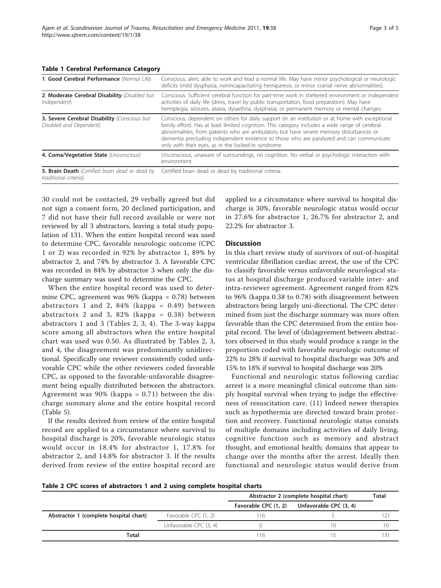<span id="page-2-0"></span>Table 1 Cerebral Performance Category

| 1. Good Cerebral Performance (Normal Life)                                      | Conscious, alert, able to work and lead a normal life. May have minor psychological or neurologic<br>deficits (mild dysphasia, nonincapacitating hemiparesis, or minor cranial nerve abnormalities).                                                                                                                                                                                                                                            |
|---------------------------------------------------------------------------------|-------------------------------------------------------------------------------------------------------------------------------------------------------------------------------------------------------------------------------------------------------------------------------------------------------------------------------------------------------------------------------------------------------------------------------------------------|
| 2. Moderate Cerebral Disability (Disabled but<br>Independent)                   | Conscious. Sufficient cerebral function for part-time work in sheltered environment or independent<br>activities of daily life (dress, travel by public transportation, food preparation). May have<br>hemiplegia, seizures, ataxia, dysarthria, dysphasia, or permanent memory or mental changes.                                                                                                                                              |
| 3. Severe Cerebral Disability (Conscious but<br>Disabled and Dependent)         | Conscious; dependent on others for daily support (in an institution or at home with exceptional<br>family effort). Has at least limited cognition. This category includes a wide range of cerebral<br>abnormalities, from patients who are ambulatory but have severe memory disturbances or<br>dementia precluding independent existence to those who are paralyzed and can communicate<br>only with their eyes, as in the locked-in syndrome. |
| 4. Coma/Vegetative State (Unconscious)                                          | Unconscious, unaware of surroundings, no cognition. No verbal or psychologic interaction with<br>environment.                                                                                                                                                                                                                                                                                                                                   |
| <b>5. Brain Death</b> (Certified brain dead or dead by<br>traditional criteria) | Certified brain dead or dead by traditional criteria.                                                                                                                                                                                                                                                                                                                                                                                           |

30 could not be contacted, 29 verbally agreed but did not sign a consent form, 20 declined participation, and 7 did not have their full record available or were not reviewed by all 3 abstractors, leaving a total study population of 131. When the entire hospital record was used to determine CPC, favorable neurologic outcome (CPC 1 or 2) was recorded in 92% by abstractor 1, 89% by abstractor 2, and 74% by abstractor 3. A favorable CPC was recorded in 84% by abstractor 3 when only the discharge summary was used to determine the CPC.

When the entire hospital record was used to determine CPC, agreement was 96% (kappa = 0.78) between abstractors 1 and 2, 84% (kappa =  $0.49$ ) between abstractors 2 and 3, 82% (kappa =  $0.38$ ) between abstractors 1 and 3 (Tables 2, [3, 4\)](#page-3-0). The 3-way kappa score among all abstractors when the entire hospital chart was used was 0.50. As illustrated by Tables 2, [3](#page-3-0), and [4](#page-3-0), the disagreement was predominantly unidirectional. Specifically one reviewer consistently coded unfavorable CPC while the other reviewers coded favorable CPC, as opposed to the favorable-unfavorable disagreement being equally distributed between the abstractors. Agreement was 90% (kappa = 0.71) between the discharge summary alone and the entire hospital record (Table [5\)](#page-4-0).

If the results derived from review of the entire hospital record are applied to a circumstance where survival to hospital discharge is 20%, favorable neurologic status would occur in 18.4% for abstractor 1, 17.8% for abstractor 2, and 14.8% for abstractor 3. If the results derived from review of the entire hospital record are

applied to a circumstance where survival to hospital discharge is 30%, favorable neurologic status would occur in 27.6% for abstractor 1, 26.7% for abstractor 2, and 22.2% for abstractor 3.

#### **Discussion**

In this chart review study of survivors of out-of-hospital ventricular fibrillation cardiac arrest, the use of the CPC to classify favorable versus unfavorable neurological status at hospital discharge produced variable inter- and intra-reviewer agreement. Agreement ranged from 82% to 96% (kappa 0.38 to 0.78) with disagreement between abstractors being largely uni-directional. The CPC determined from just the discharge summary was more often favorable than the CPC determined from the entire hospital record. The level of (dis)agreement between abstractors observed in this study would produce a range in the proportion coded with favorable neurologic outcome of 22% to 28% if survival to hospital discharge was 30% and 15% to 18% if survival to hospital discharge was 20%

Functional and neurologic status following cardiac arrest is a more meaningful clinical outcome than simply hospital survival when trying to judge the effectiveness of resuscitation care. (11) Indeed newer therapies such as hypothermia are directed toward brain protection and recovery. Functional neurologic status consists of multiple domains including activities of daily living, cognitive function such as memory and abstract thought, and emotional health; domains that appear to change over the months after the arrest. Ideally then functional and neurologic status would derive from

| Table 2 CPC scores of abstractors 1 and 2 using complete hospital charts |  |  |  |  |
|--------------------------------------------------------------------------|--|--|--|--|
|--------------------------------------------------------------------------|--|--|--|--|

|                                        |                        | Abstractor 2 (complete hospital chart) |                        | <b>Total</b> |
|----------------------------------------|------------------------|----------------------------------------|------------------------|--------------|
|                                        |                        | Favorable CPC (1, 2)                   | Unfavorable CPC (3, 4) |              |
| Abstractor 1 (complete hospital chart) | Favorable CPC (1, 2)   | 116                                    |                        |              |
|                                        | Unfavorable CPC (3, 4) |                                        |                        |              |
| <b>Total</b>                           |                        | 116                                    |                        |              |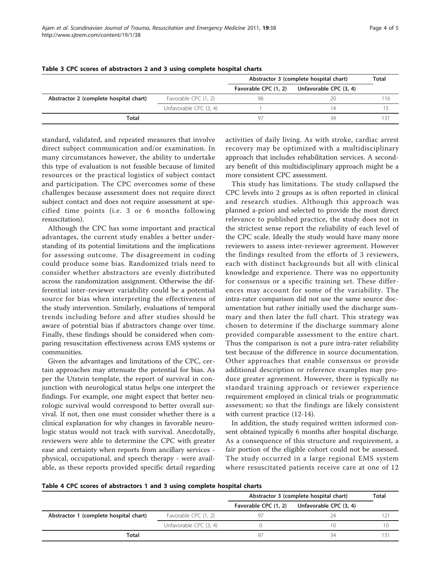|                                        |                        | Abstractor 3 (complete hospital chart) |                        | <b>Total</b> |
|----------------------------------------|------------------------|----------------------------------------|------------------------|--------------|
|                                        |                        | Favorable CPC (1, 2)                   | Unfavorable CPC (3, 4) |              |
| Abstractor 2 (complete hospital chart) | Favorable CPC (1, 2)   |                                        |                        |              |
|                                        | Unfavorable CPC (3, 4) |                                        | 4                      |              |
| <b>Total</b>                           |                        |                                        |                        |              |

<span id="page-3-0"></span>Table 3 CPC scores of abstractors 2 and 3 using complete hospital charts

standard, validated, and repeated measures that involve direct subject communication and/or examination. In many circumstances however, the ability to undertake this type of evaluation is not feasible because of limited resources or the practical logistics of subject contact and participation. The CPC overcomes some of these challenges because assessment does not require direct subject contact and does not require assessment at specified time points (i.e. 3 or 6 months following resuscitation).

Although the CPC has some important and practical advantages, the current study enables a better understanding of its potential limitations and the implications for assessing outcome. The disagreement in coding could produce some bias. Randomized trials need to consider whether abstractors are evenly distributed across the randomization assignment. Otherwise the differential inter-reviewer variability could be a potential source for bias when interpreting the effectiveness of the study intervention. Similarly, evaluations of temporal trends including before and after studies should be aware of potential bias if abstractors change over time. Finally, these findings should be considered when comparing resuscitation effectiveness across EMS systems or communities.

Given the advantages and limitations of the CPC, certain approaches may attenuate the potential for bias. As per the Utstein template, the report of survival in conjunction with neurological status helps one interpret the findings. For example, one might expect that better neurologic survival would correspond to better overall survival. If not, then one must consider whether there is a clinical explanation for why changes in favorable neurologic status would not track with survival. Anecdotally, reviewers were able to determine the CPC with greater ease and certainty when reports from ancillary services physical, occupational, and speech therapy - were available, as these reports provided specific detail regarding

activities of daily living. As with stroke, cardiac arrest recovery may be optimized with a multidisciplinary approach that includes rehabilitation services. A secondary benefit of this multidisciplinary approach might be a more consistent CPC assessment.

This study has limitations. The study collapsed the CPC levels into 2 groups as is often reported in clinical and research studies. Although this approach was planned a-priori and selected to provide the most direct relevance to published practice, the study does not in the strictest sense report the reliability of each level of the CPC scale. Ideally the study would have many more reviewers to assess inter-reviewer agreement. However the findings resulted from the efforts of 3 reviewers, each with distinct backgrounds but all with clinical knowledge and experience. There was no opportunity for consensus or a specific training set. These differences may account for some of the variability. The intra-rater comparison did not use the same source documentation but rather initially used the discharge summary and then later the full chart. This strategy was chosen to determine if the discharge summary alone provided comparable assessment to the entire chart. Thus the comparison is not a pure intra-rater reliability test because of the difference in source documentation. Other approaches that enable consensus or provide additional description or reference examples may produce greater agreement. However, there is typically no standard training approach or reviewer experience requirement employed in clinical trials or programmatic assessment; so that the findings are likely consistent with current practice (12-14).

In addition, the study required written informed consent obtained typically 6 months after hospital discharge. As a consequence of this structure and requirement, a fair portion of the eligible cohort could not be assessed. The study occurred in a large regional EMS system where resuscitated patients receive care at one of 12

| Table 4 CPC scores of abstractors 1 and 3 using complete hospital charts |  |  |
|--------------------------------------------------------------------------|--|--|
|--------------------------------------------------------------------------|--|--|

|                                        |                        | Abstractor 3 (complete hospital chart) |                        | <b>Total</b> |
|----------------------------------------|------------------------|----------------------------------------|------------------------|--------------|
|                                        |                        | Favorable CPC (1, 2)                   | Unfavorable CPC (3, 4) |              |
| Abstractor 1 (complete hospital chart) | Favorable CPC (1, 2)   |                                        |                        |              |
|                                        | Unfavorable CPC (3, 4) |                                        |                        |              |
| <b>Total</b>                           |                        |                                        |                        |              |